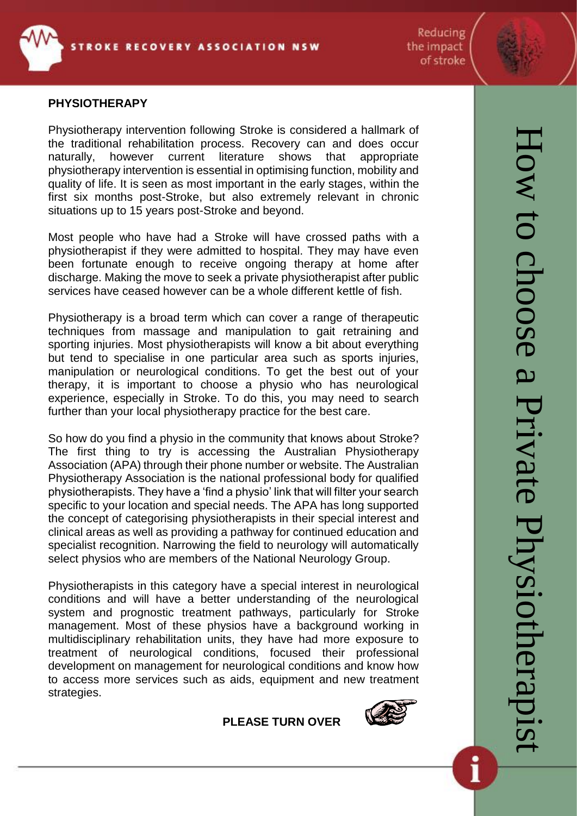

Reducing the impact of stroke

#### **PHYSIOTHERAPY**

Physiotherapy intervention following Stroke is considered a hallmark of the traditional rehabilitation process. Recovery can and does occur naturally, however current literature shows that appropriate physiotherapy intervention is essential in optimising function, mobility and quality of life. It is seen as most important in the early stages, within the first six months post-Stroke, but also extremely relevant in chronic situations up to 15 years post-Stroke and beyond.

Most people who have had a Stroke will have crossed paths with a physiotherapist if they were admitted to hospital. They may have even been fortunate enough to receive ongoing therapy at home after discharge. Making the move to seek a private physiotherapist after public services have ceased however can be a whole different kettle of fish.

Physiotherapy is a broad term which can cover a range of therapeutic techniques from massage and manipulation to gait retraining and sporting injuries. Most physiotherapists will know a bit about everything but tend to specialise in one particular area such as sports injuries, manipulation or neurological conditions. To get the best out of your therapy, it is important to choose a physio who has neurological experience, especially in Stroke. To do this, you may need to search further than your local physiotherapy practice for the best care.

So how do you find a physio in the community that knows about Stroke? The first thing to try is accessing the Australian Physiotherapy Association (APA) through their phone number or website. The Australian Physiotherapy Association is the national professional body for qualified physiotherapists. They have a 'find a physio' link that will filter your search specific to your location and special needs. The APA has long supported the concept of categorising physiotherapists in their special interest and clinical areas as well as providing a pathway for continued education and specialist recognition. Narrowing the field to neurology will automatically select physios who are members of the National Neurology Group.

Physiotherapists in this category have a special interest in neurological conditions and will have a better understanding of the neurological system and prognostic treatment pathways, particularly for Stroke management. Most of these physios have a background working in multidisciplinary rehabilitation units, they have had more exposure to treatment of neurological conditions, focused their professional development on management for neurological conditions and know how to access more services such as aids, equipment and new treatment strategies.

#### **PLEASE TURN OVER**

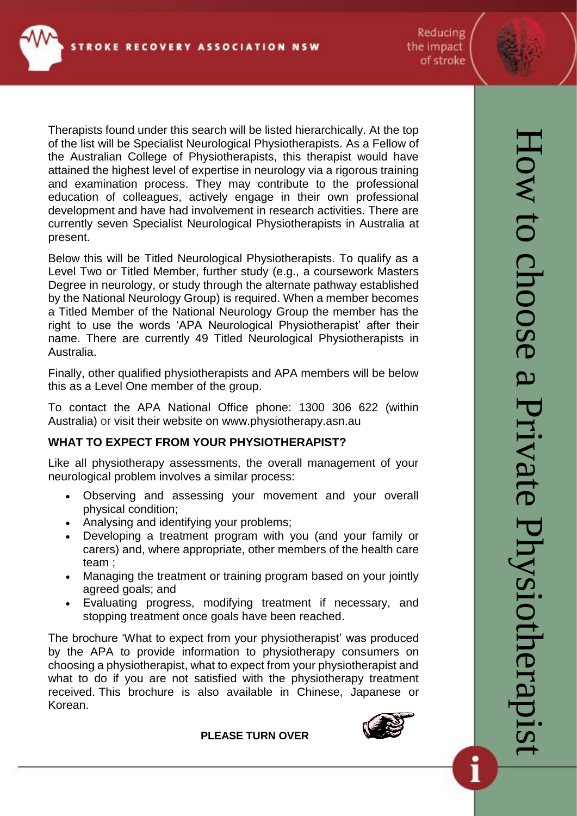Reducing the impact of stroke



Therapists found under this search will be listed hierarchically. At the top of the list will be Specialist Neurological Physiotherapists. As a Fellow of the Australian College of Physiotherapists, this therapist would have attained the highest level of expertise in neurology via a rigorous training and examination process. They may contribute to the professional education of colleagues, actively engage in their own professional development and have had involvement in research activities. There are currently seven Specialist Neurological Physiotherapists in Australia at present.

Below this will be Titled Neurological Physiotherapists. To qualify as a Level Two or Titled Member, further study (e.g., a coursework Masters Degree in neurology, or study through the alternate pathway established by the National Neurology Group) is required. When a member becomes a Titled Member of the National Neurology Group the member has the right to use the words 'APA Neurological Physiotherapist' after their name. There are currently 49 Titled Neurological Physiotherapists in Australia.

Finally, other qualified physiotherapists and APA members will be below this as a Level One member of the group.

To contact the APA National Office phone: 1300 306 622 (within Australia) or visit their website on [www.physiotherapy.asn.au](http://www.physiotherapy.asn.au/)

# **WHAT TO EXPECT FROM YOUR PHYSIOTHERAPIST?**

Like all physiotherapy assessments, the overall management of your neurological problem involves a similar process:

- Observing and assessing your movement and your overall physical condition;
- Analysing and identifying your problems;
- Developing a treatment program with you (and your family or carers) and, where appropriate, other members of the health care team ;
- Managing the treatment or training program based on your jointly agreed goals; and
- Evaluating progress, modifying treatment if necessary, and stopping treatment once goals have been reached.

The brochure ['What to expect from your physiotherapist'](http://physiotherapy.asn.au/images/PhysioandYou/What_to_expect/what_to_expect_from_your_physiotherapist_-_july_2007.pdf) was produced by the APA to provide information to physiotherapy consumers on choosing a physiotherapist, what to expect from your physiotherapist and what to do if you are not satisfied with the physiotherapy treatment received. This brochure is also available in [Chinese,](http://physiotherapy.asn.au/images/PhysioandYou/What_to_expect/chinese_psp_consumer_brochure_2007_reformatted.pdf) [Japanese](http://physiotherapy.asn.au/images/PhysioandYou/What_to_expect/japanese_psp_consumer_brochure_2007_reformatted.pdf) or [Korean.](http://physiotherapy.asn.au/images/PhysioandYou/What_to_expect/korean_psp_consumer_brochure_2007_reformatted.pdf)

### **PLEASE TURN OVER**



Ì